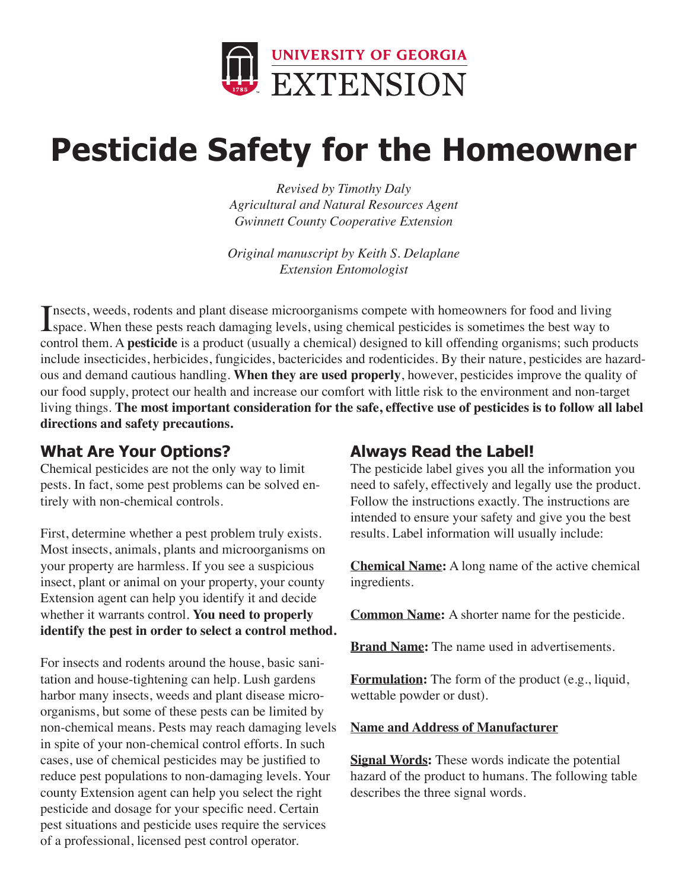

# **Pesticide Safety for the Homeowner**

*Revised by Timothy Daly Agricultural and Natural Resources Agent Gwinnett County Cooperative Extension*

*Original manuscript by Keith S. Delaplane Extension Entomologist*

Insects, weeds, rodents and plant disease microorganisms compete with homeowners for food and living<br>space. When these pests reach damaging levels, using chemical pesticides is sometimes the best way to space. When these pests reach damaging levels, using chemical pesticides is sometimes the best way to control them. A **pesticide** is a product (usually a chemical) designed to kill offending organisms; such products include insecticides, herbicides, fungicides, bactericides and rodenticides. By their nature, pesticides are hazardous and demand cautious handling. **When they are used properly**, however, pesticides improve the quality of our food supply, protect our health and increase our comfort with little risk to the environment and non-target living things. **The most important consideration for the safe, effective use of pesticides is to follow all label directions and safety precautions.**

### **What Are Your Options?**

Chemical pesticides are not the only way to limit pests. In fact, some pest problems can be solved entirely with non-chemical controls.

First, determine whether a pest problem truly exists. Most insects, animals, plants and microorganisms on your property are harmless. If you see a suspicious insect, plant or animal on your property, your county Extension agent can help you identify it and decide whether it warrants control. **You need to properly identify the pest in order to select a control method.** 

For insects and rodents around the house, basic sanitation and house-tightening can help. Lush gardens harbor many insects, weeds and plant disease microorganisms, but some of these pests can be limited by non-chemical means. Pests may reach damaging levels in spite of your non-chemical control efforts. In such cases, use of chemical pesticides may be justified to reduce pest populations to non-damaging levels. Your county Extension agent can help you select the right pesticide and dosage for your specific need. Certain pest situations and pesticide uses require the services of a professional, licensed pest control operator.

### **Always Read the Label!**

The pesticide label gives you all the information you need to safely, effectively and legally use the product. Follow the instructions exactly. The instructions are intended to ensure your safety and give you the best results. Label information will usually include:

**Chemical Name:** A long name of the active chemical ingredients.

**Common Name:** A shorter name for the pesticide.

**Brand Name:** The name used in advertisements.

**Formulation:** The form of the product (e.g., liquid, wettable powder or dust).

#### **Name and Address of Manufacturer**

**Signal Words:** These words indicate the potential hazard of the product to humans. The following table describes the three signal words.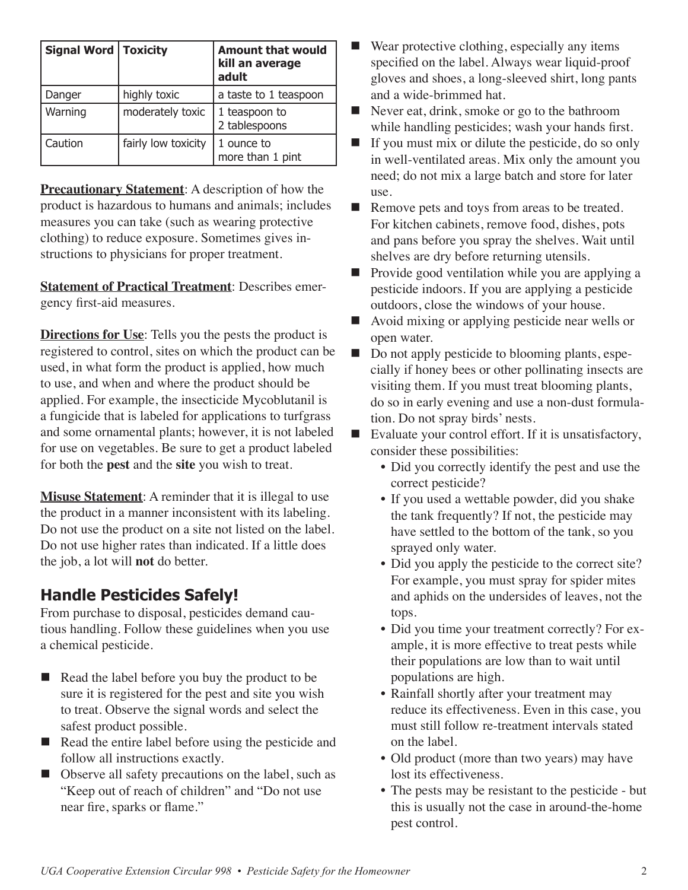| <b>Signal Word   Toxicity</b> |                     | <b>Amount that would</b><br>kill an average<br>adult |
|-------------------------------|---------------------|------------------------------------------------------|
| Danger                        | highly toxic        | a taste to 1 teaspoon                                |
| Warning                       | moderately toxic    | 1 teaspoon to<br>2 tablespoons                       |
| Caution                       | fairly low toxicity | 1 ounce to<br>more than 1 pint                       |

**Precautionary Statement:** A description of how the product is hazardous to humans and animals; includes measures you can take (such as wearing protective clothing) to reduce exposure. Sometimes gives instructions to physicians for proper treatment.

**Statement of Practical Treatment**: Describes emergency first-aid measures.

**Directions for Use**: Tells you the pests the product is registered to control, sites on which the product can be used, in what form the product is applied, how much to use, and when and where the product should be applied. For example, the insecticide Mycoblutanil is a fungicide that is labeled for applications to turfgrass and some ornamental plants; however, it is not labeled for use on vegetables. Be sure to get a product labeled for both the **pest** and the **site** you wish to treat.

**Misuse Statement:** A reminder that it is illegal to use the product in a manner inconsistent with its labeling. Do not use the product on a site not listed on the label. Do not use higher rates than indicated. If a little does the job, a lot will **not** do better.

### **Handle Pesticides Safely!**

From purchase to disposal, pesticides demand cautious handling. Follow these guidelines when you use a chemical pesticide.

- $\blacksquare$  Read the label before you buy the product to be sure it is registered for the pest and site you wish to treat. Observe the signal words and select the safest product possible.
- n Read the entire label before using the pesticide and follow all instructions exactly.
- Observe all safety precautions on the label, such as "Keep out of reach of children" and "Do not use near fire, sparks or flame."
- $\blacksquare$  Wear protective clothing, especially any items specified on the label. Always wear liquid-proof gloves and shoes, a long-sleeved shirt, long pants and a wide-brimmed hat.
- $\blacksquare$  Never eat, drink, smoke or go to the bathroom while handling pesticides; wash your hands first.
- $\blacksquare$  If you must mix or dilute the pesticide, do so only in well-ventilated areas. Mix only the amount you need; do not mix a large batch and store for later use.
- Remove pets and toys from areas to be treated. For kitchen cabinets, remove food, dishes, pots and pans before you spray the shelves. Wait until shelves are dry before returning utensils.
- Provide good ventilation while you are applying a pesticide indoors. If you are applying a pesticide outdoors, close the windows of your house.
- $\blacksquare$  Avoid mixing or applying pesticide near wells or open water.
- Do not apply pesticide to blooming plants, especially if honey bees or other pollinating insects are visiting them. If you must treat blooming plants, do so in early evening and use a non-dust formulation. Do not spray birds' nests.
- $\blacksquare$  Evaluate your control effort. If it is unsatisfactory, consider these possibilities:
	- Did you correctly identify the pest and use the correct pesticide?
	- If you used a wettable powder, did you shake the tank frequently? If not, the pesticide may have settled to the bottom of the tank, so you sprayed only water.
	- Did you apply the pesticide to the correct site? For example, you must spray for spider mites and aphids on the undersides of leaves, not the tops.
	- Did you time your treatment correctly? For example, it is more effective to treat pests while their populations are low than to wait until populations are high.
	- Rainfall shortly after your treatment may reduce its effectiveness. Even in this case, you must still follow re-treatment intervals stated on the label.
	- Old product (more than two years) may have lost its effectiveness.
	- The pests may be resistant to the pesticide but this is usually not the case in around-the-home pest control.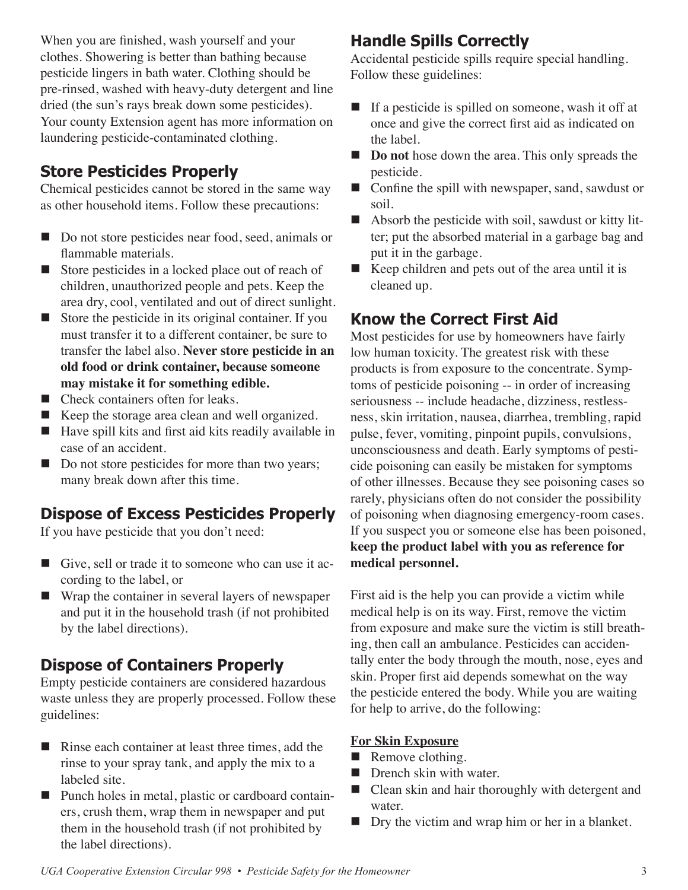When you are finished, wash yourself and your clothes. Showering is better than bathing because pesticide lingers in bath water. Clothing should be pre-rinsed, washed with heavy-duty detergent and line dried (the sun's rays break down some pesticides). Your county Extension agent has more information on laundering pesticide-contaminated clothing.

### **Store Pesticides Properly**

Chemical pesticides cannot be stored in the same way as other household items. Follow these precautions:

- Do not store pesticides near food, seed, animals or flammable materials.
- Store pesticides in a locked place out of reach of children, unauthorized people and pets. Keep the area dry, cool, ventilated and out of direct sunlight.
- $\blacksquare$  Store the pesticide in its original container. If you must transfer it to a different container, be sure to transfer the label also. **Never store pesticide in an old food or drink container, because someone may mistake it for something edible.**
- $\blacksquare$  Check containers often for leaks.
- $\blacksquare$  Keep the storage area clean and well organized.
- $\blacksquare$  Have spill kits and first aid kits readily available in case of an accident.
- Do not store pesticides for more than two years; many break down after this time.

### **Dispose of Excess Pesticides Properly**

If you have pesticide that you don't need:

- Give, sell or trade it to some one who can use it according to the label, or
- $\blacksquare$  Wrap the container in several layers of newspaper and put it in the household trash (if not prohibited by the label directions).

### **Dispose of Containers Properly**

Empty pesticide containers are considered hazardous waste unless they are properly processed. Follow these guidelines:

- $\blacksquare$  Rinse each container at least three times, add the rinse to your spray tank, and apply the mix to a labeled site.
- Punch holes in metal, plastic or cardboard containers, crush them, wrap them in newspaper and put them in the household trash (if not prohibited by the label directions).

### **Handle Spills Correctly**

Accidental pesticide spills require special handling. Follow these guidelines:

- $\blacksquare$  If a pesticide is spilled on someone, wash it off at once and give the correct first aid as indicated on the label.
- **n Do not** hose down the area. This only spreads the pesticide.
- $\blacksquare$  Confine the spill with newspaper, sand, sawdust or soil.
- $\blacksquare$  Absorb the pesticide with soil, sawdust or kitty litter; put the absorbed material in a garbage bag and put it in the garbage.
- $\blacksquare$  Keep children and pets out of the area until it is cleaned up.

### **Know the Correct First Aid**

Most pesticides for use by homeowners have fairly low human toxicity. The greatest risk with these products is from exposure to the concentrate. Symptoms of pesticide poisoning -- in order of increasing seriousness -- include headache, dizziness, restlessness, skin irritation, nausea, diarrhea, trembling, rapid pulse, fever, vomiting, pinpoint pupils, convulsions, unconsciousness and death. Early symptoms of pesticide poisoning can easily be mistaken for symptoms of other illnesses. Because they see poisoning cases so rarely, physicians often do not consider the possibility of poisoning when diagnosing emergency-room cases. If you suspect you or someone else has been poisoned, **keep the product label with you as reference for medical personnel.**

First aid is the help you can provide a victim while medical help is on its way. First, remove the victim from exposure and make sure the victim is still breathing, then call an ambulance. Pesticides can accidentally enter the body through the mouth, nose, eyes and skin. Proper first aid depends somewhat on the way the pesticide entered the body. While you are waiting for help to arrive, do the following:

#### **For Skin Exposure**

- $\blacksquare$  Remove clothing.
- $\blacksquare$  Drench skin with water.
- $\blacksquare$  Clean skin and hair thoroughly with detergent and water.
- $\blacksquare$  Dry the victim and wrap him or her in a blanket.